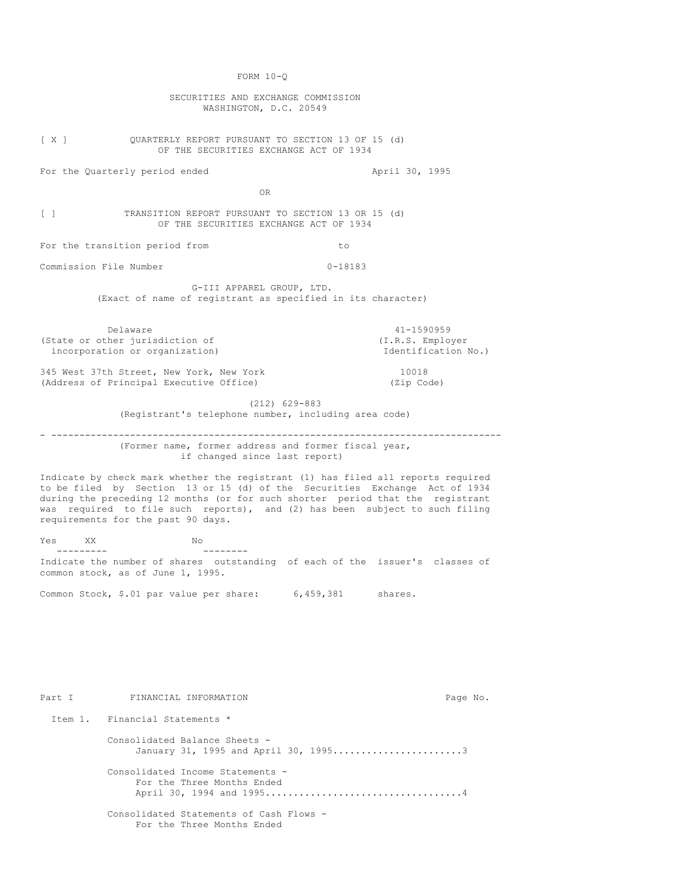FORM 10-Q

SECURITIES AND EXCHANGE COMMISSION WASHINGTON, D.C. 20549

[ X ] QUARTERLY REPORT PURSUANT TO SECTION 13 OF 15 (d) OF THE SECURITIES EXCHANGE ACT OF 1934

For the Quarterly period ended April 30, 1995

OR

[ ] TRANSITION REPORT PURSUANT TO SECTION 13 OR 15 (d) OF THE SECURITIES EXCHANGE ACT OF 1934

For the transition period from to to

Commission File Number 0-18183

G-III APPAREL GROUP, LTD. (Exact of name of registrant as specified in its character)

Delaware 41-1590959<br>
ther jurisdiction of  $(1.R.S.$  Employer (State or other jurisdiction of incorporation or organization) and the intervals of  $\mathbb{R}$  and  $\mathbb{R}$  are intervals of  $\mathbb{R}$ .

345 West 37th Street, New York, New York 10018 (Address of Principal Executive Office) (Zip Code)

> (212) 629-883 (Registrant's telephone number, including area code)

- -------------------------------------------------------------------------------- (Former name, former address and former fiscal year, if changed since last report)

Indicate by check mark whether the registrant (1) has filed all reports required to be filed by Section 13 or 15 (d) of the Securities Exchange Act of 1934 during the preceding 12 months (or for such shorter period that the registrant was required to file such reports), and (2) has been subject to such filing requirements for the past 90 days.

Yes XX No  $\overline{a}$ --------- -------- Indicate the number of shares outstanding of each of the issuer's classes of common stock, as of June 1, 1995.

Common Stock, \$.01 par value per share: 6,459,381 shares.

Part I FINANCIAL INFORMATION Page No. Item 1. Financial Statements \* Consolidated Balance Sheets - January 31, 1995 and April 30, 1995.........................3 Consolidated Income Statements - For the Three Months Ended April 30, 1994 and 1995...................................4 Consolidated Statements of Cash Flows - For the Three Months Ended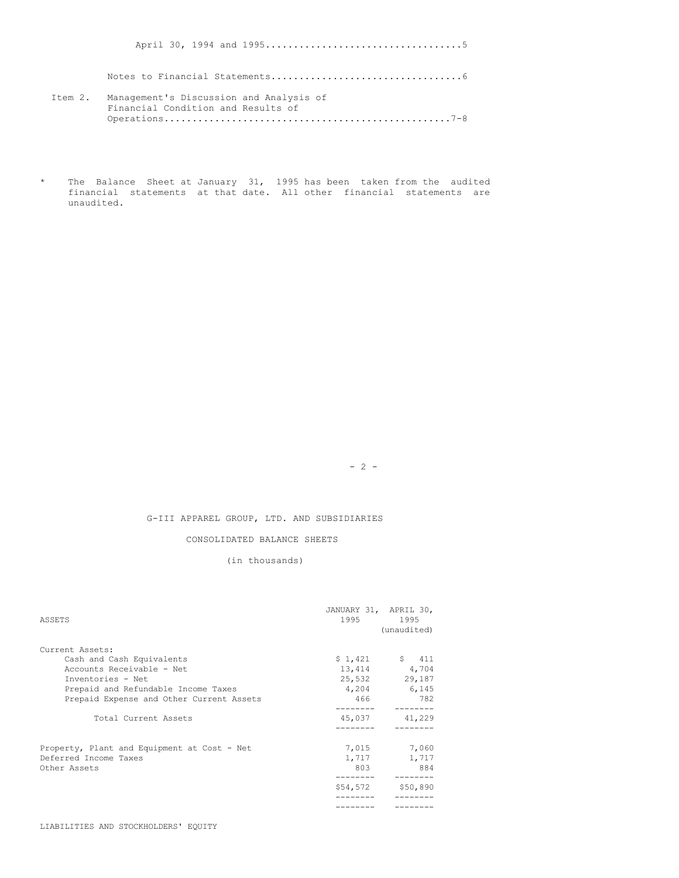April 30, 1994 and 1995...................................5

Notes to Financial Statements..................................6

- Item 2. Management's Discussion and Analysis of Financial Condition and Results of Operations...................................................7-8
- \* The Balance Sheet at January 31, 1995 has been taken from the audited financial statements at that date. All other financial statements are unaudited.

 $- 2 -$ 

G-III APPAREL GROUP, LTD. AND SUBSIDIARIES

CONSOLIDATED BALANCE SHEETS

(in thousands)

| ASSETS                                      | JANUARY 31, APRIL 30,<br>1995 — 1995 | 1995<br>(unaudited) |
|---------------------------------------------|--------------------------------------|---------------------|
| Current Assets:                             |                                      |                     |
| Cash and Cash Equivalents                   |                                      | $$1,421$ $$411$     |
| Accounts Receivable - Net                   |                                      | 13,414 4,704        |
| Inventories - Net                           | 25,532                               | 29,187              |
| Prepaid and Refundable Income Taxes         |                                      | 4,204 6,145         |
| Prepaid Expense and Other Current Assets    | 466                                  | 782                 |
|                                             |                                      |                     |
| Total Current Assets                        | 45,037                               | 41,229              |
|                                             |                                      |                     |
| Property, Plant and Equipment at Cost - Net |                                      | 7,015 7,060         |
| Deferred Income Taxes                       | 1,717                                | 1,717               |
| Other Assets                                | 803                                  | 884                 |
|                                             |                                      |                     |
|                                             | \$54,572                             | \$50,890            |
|                                             |                                      |                     |
|                                             |                                      |                     |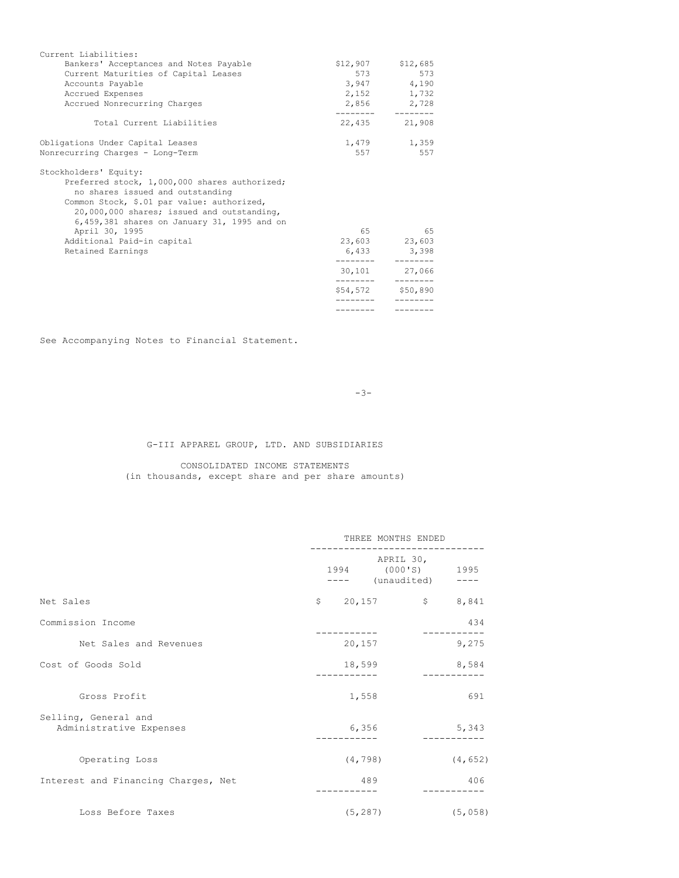| Current Liabilities:                                                                                                                                                                                                                                                    |                    |                                      |
|-------------------------------------------------------------------------------------------------------------------------------------------------------------------------------------------------------------------------------------------------------------------------|--------------------|--------------------------------------|
| Bankers' Acceptances and Notes Payable                                                                                                                                                                                                                                  |                    | $$12,907$ $$12,685$                  |
| Current Maturities of Capital Leases                                                                                                                                                                                                                                    |                    | 573<br>573 — 100                     |
| Accounts Payable                                                                                                                                                                                                                                                        |                    | 3,947 4,190                          |
| Accrued Expenses                                                                                                                                                                                                                                                        |                    | 2,152 1,732                          |
| Accrued Nonrecurring Charges                                                                                                                                                                                                                                            | _________  _______ | 2,856 2,728                          |
| Total Current Liabilities                                                                                                                                                                                                                                               | 22,435             | 21,908                               |
| Obligations Under Capital Leases                                                                                                                                                                                                                                        |                    | 1,479 1,359                          |
| Nonrecurring Charges - Long-Term                                                                                                                                                                                                                                        | 557                | 557                                  |
| Stockholders' Equity:<br>Preferred stock, 1,000,000 shares authorized;<br>no shares issued and outstanding<br>Common Stock, \$.01 par value: authorized,<br>20,000,000 shares; issued and outstanding,<br>6,459,381 shares on January 31, 1995 and on<br>April 30, 1995 |                    | 65                                   |
| Additional Paid-in capital                                                                                                                                                                                                                                              |                    | 23,603 23,603                        |
| Retained Earnings                                                                                                                                                                                                                                                       |                    | 6,433 3,398                          |
|                                                                                                                                                                                                                                                                         |                    | 30,101 27,066                        |
|                                                                                                                                                                                                                                                                         |                    | $- - - - - - -$<br>\$54,572 \$50,890 |
|                                                                                                                                                                                                                                                                         |                    |                                      |

See Accompanying Notes to Financial Statement.

-3-

G-III APPAREL GROUP, LTD. AND SUBSIDIARIES

CONSOLIDATED INCOME STATEMENTS (in thousands, except share and per share amounts)

|                                                 | THREE MONTHS ENDED |          |                                                                              |          |
|-------------------------------------------------|--------------------|----------|------------------------------------------------------------------------------|----------|
|                                                 |                    |          | APRIL 30,<br>1994 (000'S) 1995<br>---- (unaudited)                           |          |
| Net Sales                                       |                    |          | $\begin{matrix} 5 & 20,157 \end{matrix}$ $\begin{matrix} 5 & 5 \end{matrix}$ | 8,841    |
| Commission Income                               |                    |          |                                                                              | 434      |
| Net Sales and Revenues                          |                    | 20,157   |                                                                              | 9,275    |
| Cost of Goods Sold                              |                    | 18,599   |                                                                              | 8,584    |
| Gross Profit                                    |                    | 1,558    |                                                                              | 691      |
| Selling, General and<br>Administrative Expenses |                    | 6,356    |                                                                              | 5,343    |
| Operating Loss                                  |                    | (4, 798) |                                                                              | (4, 652) |
| Interest and Financing Charges, Net             |                    | 489      |                                                                              | 406      |
| Loss Before Taxes                               |                    | (5, 287) |                                                                              | (5,058)  |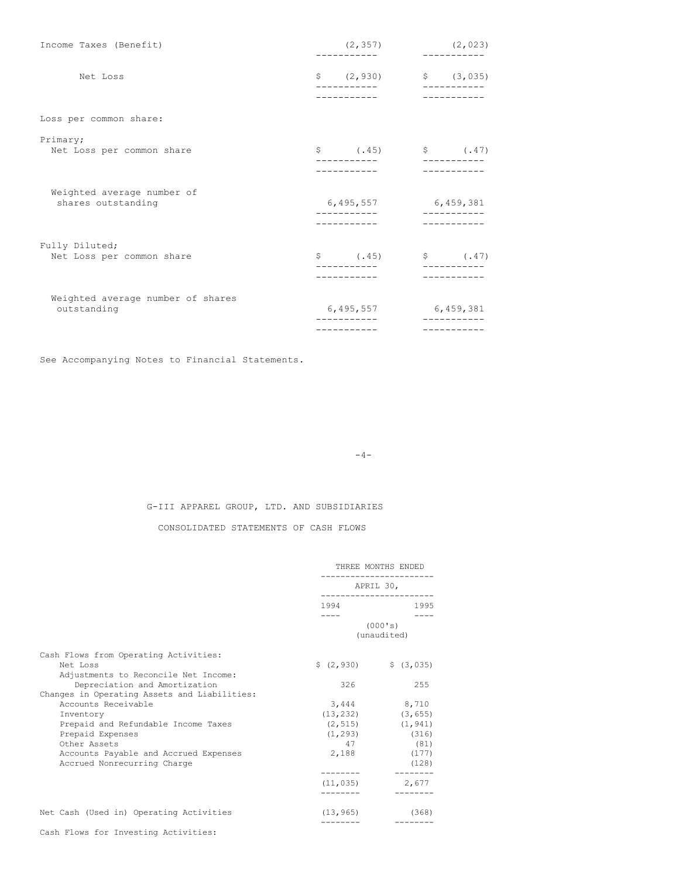| Income Taxes (Benefit)                           | (2, 357)<br>(2, 023) |                                 |
|--------------------------------------------------|----------------------|---------------------------------|
| Net Loss                                         |                      | $\zeta$ (2,930) $\zeta$ (3,035) |
|                                                  |                      |                                 |
| Loss per common share:                           |                      |                                 |
| Primary;<br>Net Loss per common share            |                      | $$ (45)$ (\$ $(47)$             |
|                                                  |                      |                                 |
| Weighted average number of<br>shares outstanding | 6,495,557 6,459,381  |                                 |
|                                                  |                      |                                 |
| Fully Diluted;<br>Net Loss per common share      |                      | $\$$ (.45) $\$$ (.47)           |
|                                                  |                      |                                 |
| Weighted average number of shares<br>outstanding |                      | 6,495,557 6,459,381             |
|                                                  |                      |                                 |

See Accompanying Notes to Financial Statements.

 $-4-$ 

G-III APPAREL GROUP, LTD. AND SUBSIDIARIES

CONSOLIDATED STATEMENTS OF CASH FLOWS

|                                              | THREE MONTHS ENDED                |                                             |  |
|----------------------------------------------|-----------------------------------|---------------------------------------------|--|
|                                              | APRIL 30,<br>____________________ |                                             |  |
|                                              | 1994                              | 1995                                        |  |
|                                              |                                   | (000's)<br>(unaudited)                      |  |
| Cash Flows from Operating Activities:        |                                   |                                             |  |
| Net Loss                                     |                                   | $\frac{1}{2}$ (2,930) $\frac{1}{2}$ (3,035) |  |
| Adjustments to Reconcile Net Income:         |                                   |                                             |  |
| Depreciation and Amortization                | 326                               | 255                                         |  |
| Changes in Operating Assets and Liabilities: |                                   |                                             |  |
| Accounts Receivable                          | 3,444                             | 8,710                                       |  |
| Inventory                                    |                                   | $(13, 232)$ $(3, 655)$                      |  |
| Prepaid and Refundable Income Taxes          |                                   | $(2, 515)$ $(1, 941)$                       |  |
| Prepaid Expenses                             |                                   | $(1, 293)$ (316)                            |  |
| Other Assets                                 | 47                                | (81)                                        |  |
| Accounts Payable and Accrued Expenses        | 2,188                             | (177)                                       |  |
| Accrued Nonrecurring Charge                  | ---------                         | (128)                                       |  |
|                                              | (11, 035)                         | 2,677                                       |  |
|                                              |                                   |                                             |  |
| Net Cash (Used in) Operating Activities      | (13, 965)                         | (368)                                       |  |
|                                              |                                   |                                             |  |

Cash Flows for Investing Activities: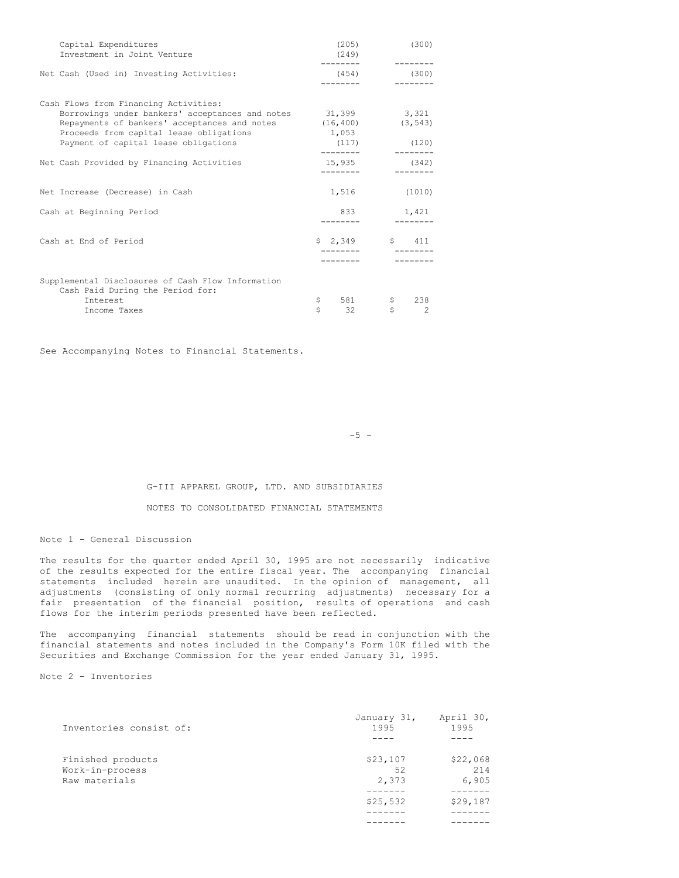| Capital Expenditures<br>Investment in Joint Venture                                                                                                                                                                                | (205)<br>(249)              | (300)                                      |
|------------------------------------------------------------------------------------------------------------------------------------------------------------------------------------------------------------------------------------|-----------------------------|--------------------------------------------|
| Net Cash (Used in) Investing Activities:                                                                                                                                                                                           | (454)                       | (300)                                      |
| Cash Flows from Financing Activities:<br>Borrowings under bankers' acceptances and notes 31,399<br>Repayments of bankers' acceptances and notes<br>Proceeds from capital lease obligations<br>Payment of capital lease obligations | (16, 400)<br>1,053<br>(117) | 3,321<br>(3, 543)<br>(120)                 |
| Net Cash Provided by Financing Activities                                                                                                                                                                                          | 15,935                      | (342)                                      |
| Net Increase (Decrease) in Cash                                                                                                                                                                                                    | 1,516                       | (1010)                                     |
| Cash at Beginning Period                                                                                                                                                                                                           | 833                         | 1,421                                      |
| Cash at End of Period                                                                                                                                                                                                              |                             | $$2,349$ $$411$                            |
| Supplemental Disclosures of Cash Flow Information<br>Cash Paid During the Period for:<br>Interest<br>Income Taxes                                                                                                                  | \$<br>581<br>Ś<br>32        | \$<br>238<br>$\mathbb S$<br>$\mathfrak{D}$ |

See Accompanying Notes to Financial Statements.

 $-5 -$ 

# G-III APPAREL GROUP, LTD. AND SUBSIDIARIES

## NOTES TO CONSOLIDATED FINANCIAL STATEMENTS

Note 1 - General Discussion

The results for the quarter ended April 30, 1995 are not necessarily indicative of the results expected for the entire fiscal year. The accompanying financial statements included herein are unaudited. In the opinion of management, all adjustments (consisting of only normal recurring adjustments) necessary for a fair presentation of the financial position, results of operations and cash flows for the interim periods presented have been reflected.

The accompanying financial statements should be read in conjunction with the financial statements and notes included in the Company's Form 10K filed with the Securities and Exchange Commission for the year ended January 31, 1995.

Note 2 - Inventories

| Inventories consist of:                               | January 31,<br>1995     | April 30,<br>1995        |
|-------------------------------------------------------|-------------------------|--------------------------|
|                                                       |                         |                          |
| Finished products<br>Work-in-process<br>Raw materials | \$23,107<br>52<br>2,373 | \$22,068<br>214<br>6,905 |
|                                                       | \$25,532                | \$29,187                 |
|                                                       |                         |                          |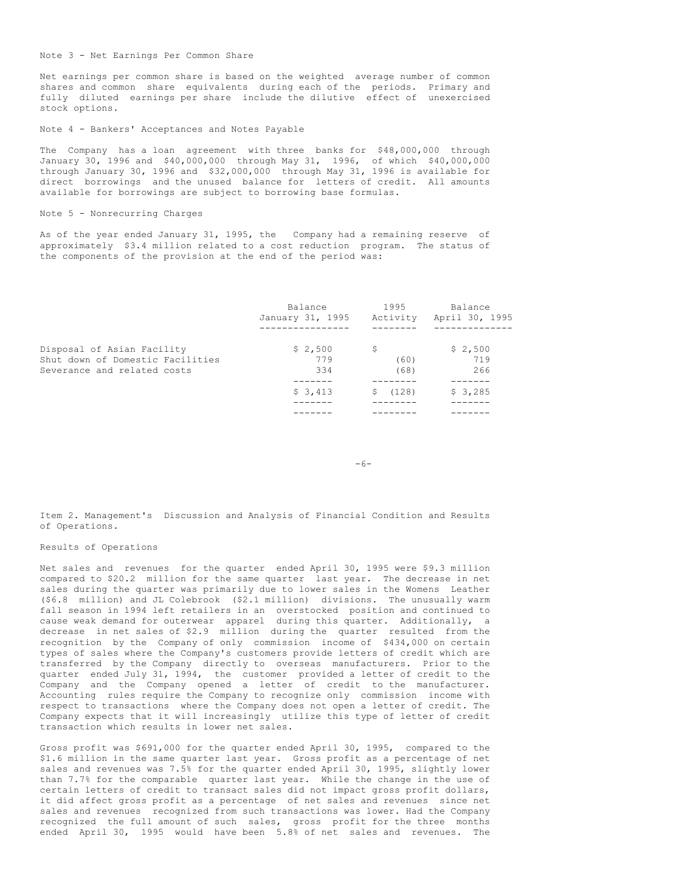#### Note 3 - Net Earnings Per Common Share

Net earnings per common share is based on the weighted average number of common shares and common share equivalents during each of the periods. Primary and fully diluted earnings per share include the dilutive effect of unexercised stock options.

#### Note 4 - Bankers' Acceptances and Notes Payable

The Company has a loan agreement with three banks for \$48,000,000 through January 30, 1996 and \$40,000,000 through May 31, 1996, of which \$40,000,000 through January 30, 1996 and \$32,000,000 through May 31, 1996 is available for direct borrowings and the unused balance for letters of credit. All amounts available for borrowings are subject to borrowing base formulas.

### Note 5 - Nonrecurring Charges

As of the year ended January 31, 1995, the Company had a remaining reserve of approximately \$3.4 million related to a cost reduction program. The status of the components of the provision at the end of the period was:

|                                                                                               | Balance<br>January 31, 1995 | 1995<br>Activity   | Balance<br>April 30, 1995 |
|-----------------------------------------------------------------------------------------------|-----------------------------|--------------------|---------------------------|
|                                                                                               |                             |                    |                           |
| Disposal of Asian Facility<br>Shut down of Domestic Facilities<br>Severance and related costs | \$2,500<br>779<br>334       | S.<br>(60)<br>(68) | \$2,500<br>719<br>266     |
|                                                                                               |                             |                    |                           |
|                                                                                               | \$3,413                     | (128)<br>S.        | \$3,285                   |
|                                                                                               |                             |                    |                           |

 $-6-$ 

Item 2. Management's Discussion and Analysis of Financial Condition and Results of Operations.

## Results of Operations

Net sales and revenues for the quarter ended April 30, 1995 were \$9.3 million compared to \$20.2 million for the same quarter last year. The decrease in net sales during the quarter was primarily due to lower sales in the Womens Leather (\$6.8 million) and JL Colebrook (\$2.1 million) divisions. The unusually warm fall season in 1994 left retailers in an overstocked position and continued to cause weak demand for outerwear apparel during this quarter. Additionally, a decrease in net sales of \$2.9 million during the quarter resulted from the recognition by the Company of only commission income of \$434,000 on certain types of sales where the Company's customers provide letters of credit which are transferred by the Company directly to overseas manufacturers. Prior to the quarter ended July 31, 1994, the customer provided a letter of credit to the Company and the Company opened a letter of credit to the manufacturer. Accounting rules require the Company to recognize only commission income with respect to transactions where the Company does not open a letter of credit. The Company expects that it will increasingly utilize this type of letter of credit transaction which results in lower net sales.

Gross profit was \$691,000 for the quarter ended April 30, 1995, compared to the \$1.6 million in the same quarter last year. Gross profit as a percentage of net sales and revenues was 7.5% for the quarter ended April 30, 1995, slightly lower than 7.7% for the comparable quarter last year. While the change in the use of certain letters of credit to transact sales did not impact gross profit dollars, it did affect gross profit as a percentage of net sales and revenues since net sales and revenues recognized from such transactions was lower. Had the Company recognized the full amount of such sales, gross profit for the three months ended April 30, 1995 would have been 5.8% of net sales and revenues. The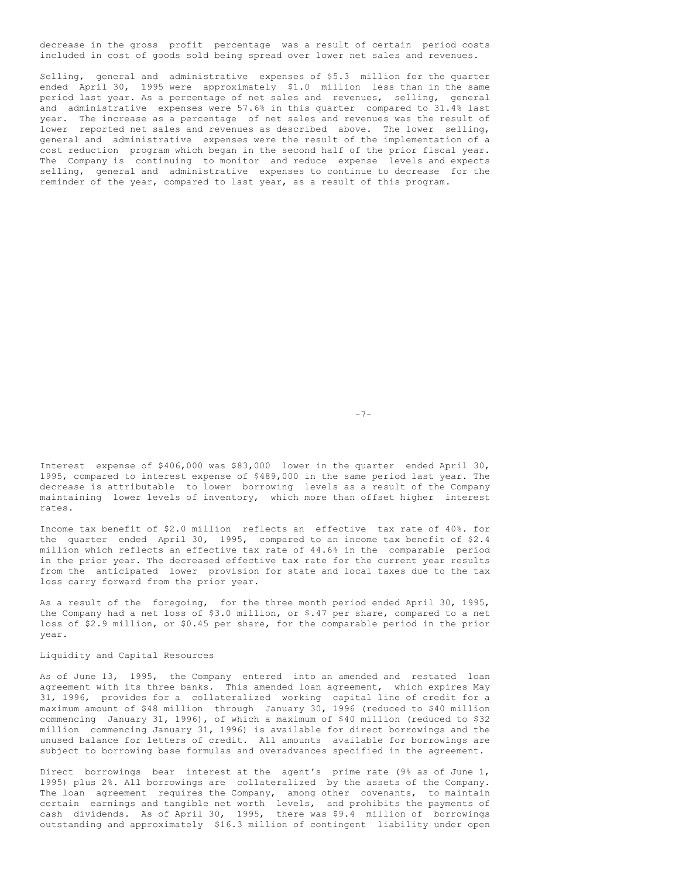decrease in the gross profit percentage was a result of certain period costs included in cost of goods sold being spread over lower net sales and revenues.

Selling, general and administrative expenses of \$5.3 million for the quarter ended April 30, 1995 were approximately \$1.0 million less than in the same period last year. As a percentage of net sales and revenues, selling, general and administrative expenses were 57.6% in this quarter compared to 31.4% last year. The increase as a percentage of net sales and revenues was the result of lower reported net sales and revenues as described above. The lower selling, general and administrative expenses were the result of the implementation of a cost reduction program which began in the second half of the prior fiscal year. The Company is continuing to monitor and reduce expense levels and expects selling, general and administrative expenses to continue to decrease for the reminder of the year, compared to last year, as a result of this program.

-7-

Interest expense of \$406,000 was \$83,000 lower in the quarter ended April 30, 1995, compared to interest expense of \$489,000 in the same period last year. The decrease is attributable to lower borrowing levels as a result of the Company maintaining lower levels of inventory, which more than offset higher interest rates.

Income tax benefit of \$2.0 million reflects an effective tax rate of 40%. for the quarter ended April 30, 1995, compared to an income tax benefit of \$2.4 million which reflects an effective tax rate of 44.6% in the comparable period in the prior year. The decreased effective tax rate for the current year results from the anticipated lower provision for state and local taxes due to the tax loss carry forward from the prior year.

As a result of the foregoing, for the three month period ended April 30, 1995, the Company had a net loss of \$3.0 million, or \$.47 per share, compared to a net loss of \$2.9 million, or \$0.45 per share, for the comparable period in the prior year.

## Liquidity and Capital Resources

As of June 13, 1995, the Company entered into an amended and restated loan agreement with its three banks. This amended loan agreement, which expires May 31, 1996, provides for a collateralized working capital line of credit for a maximum amount of \$48 million through January 30, 1996 (reduced to \$40 million commencing January 31, 1996), of which a maximum of \$40 million (reduced to \$32 million commencing January 31, 1996) is available for direct borrowings and the unused balance for letters of credit. All amounts available for borrowings are subject to borrowing base formulas and overadvances specified in the agreement.

Direct borrowings bear interest at the agent's prime rate (9% as of June 1, 1995) plus 2%. All borrowings are collateralized by the assets of the Company. The loan agreement requires the Company, among other covenants, to maintain certain earnings and tangible net worth levels, and prohibits the payments of cash dividends. As of April 30, 1995, there was \$9.4 million of borrowings outstanding and approximately \$16.3 million of contingent liability under open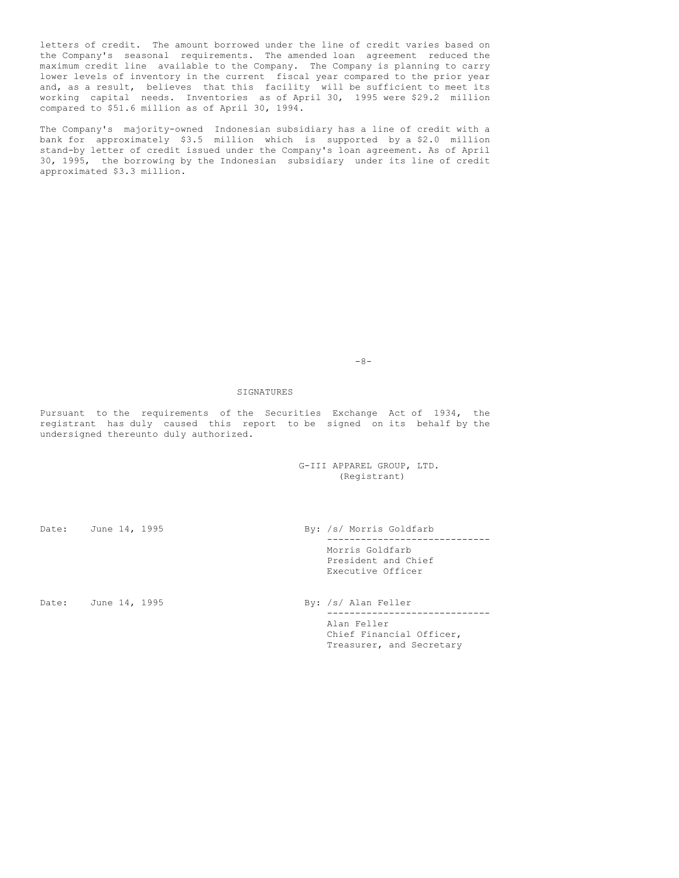letters of credit. The amount borrowed under the line of credit varies based on the Company's seasonal requirements. The amended loan agreement reduced the maximum credit line available to the Company. The Company is planning to carry lower levels of inventory in the current fiscal year compared to the prior year and, as a result, believes that this facility will be sufficient to meet its working capital needs. Inventories as of April 30, 1995 were \$29.2 million compared to \$51.6 million as of April 30, 1994.

The Company's majority-owned Indonesian subsidiary has a line of credit with a bank for approximately \$3.5 million which is supported by a \$2.0 million stand-by letter of credit issued under the Company's loan agreement. As of April 30, 1995, the borrowing by the Indonesian subsidiary under its line of credit approximated \$3.3 million.

 $-8-$ 

#### SIGNATURES

Pursuant to the requirements of the Securities Exchange Act of 1934, the registrant has duly caused this report to be signed on its behalf by the undersigned thereunto duly authorized.

> G-III APPAREL GROUP, LTD. (Registrant)

Date: June 14, 1995 By: /s/ Morris Goldfarb ----------------------------- Morris Goldfarb President and Chief Executive Officer

Date: June 14, 1995 By: /s/ Alan Feller

----------------------------- Alan Feller Chief Financial Officer, Treasurer, and Secretary